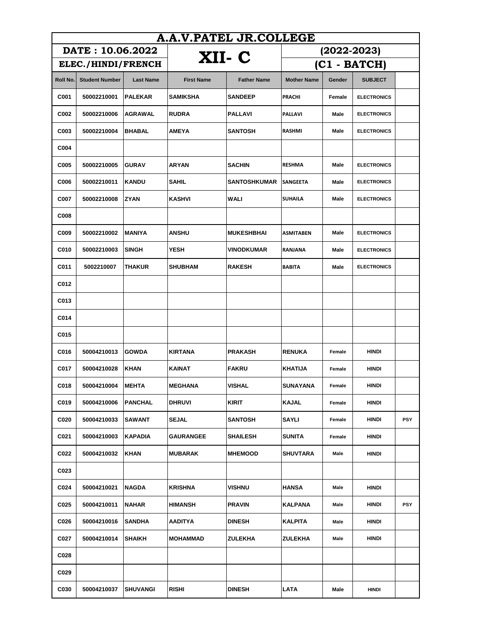| A.A.V.PATEL JR.COLLEGE |                       |                  |                   |                    |                    |        |                    |            |  |
|------------------------|-----------------------|------------------|-------------------|--------------------|--------------------|--------|--------------------|------------|--|
|                        | DATE: 10.06.2022      |                  |                   |                    | $(2022 - 2023)$    |        |                    |            |  |
| ELEC./HINDI/FRENCH     |                       |                  | XII- C            |                    | $(C1 - BATCH)$     |        |                    |            |  |
| Roll No.               | <b>Student Number</b> | <b>Last Name</b> | <b>First Name</b> | <b>Father Name</b> | <b>Mother Name</b> | Gender | <b>SUBJECT</b>     |            |  |
| C001                   | 50002210001           | <b>PALEKAR</b>   | <b>SAMIKSHA</b>   | <b>SANDEEP</b>     | PRACHI             | Female | <b>ELECTRONICS</b> |            |  |
| C002                   | 50002210006           | AGRAWAL          | <b>RUDRA</b>      | <b>PALLAVI</b>     | PALLAVI            | Male   | <b>ELECTRONICS</b> |            |  |
| C003                   | 50002210004           | <b>BHABAL</b>    | <b>AMEYA</b>      | SANTOSH            | RASHMI             | Male   | <b>ELECTRONICS</b> |            |  |
| C004                   |                       |                  |                   |                    |                    |        |                    |            |  |
| C005                   | 50002210005           | <b>GURAV</b>     | <b>ARYAN</b>      | SACHIN             | <b>RESHMA</b>      | Male   | <b>ELECTRONICS</b> |            |  |
| <b>C006</b>            | 50002210011           | <b>KANDU</b>     | <b>SAHIL</b>      | SANTOSHKUMAR       | <b>SANGEETA</b>    | Male   | <b>ELECTRONICS</b> |            |  |
| C007                   | 50002210008           | <b>ZYAN</b>      | <b>KASHVI</b>     | WALI               | SUHAILA            | Male   | <b>ELECTRONICS</b> |            |  |
| C008                   |                       |                  |                   |                    |                    |        |                    |            |  |
| C009                   | 50002210002           | <b>MANIYA</b>    | <b>ANSHU</b>      | <b>MUKESHBHAI</b>  | <b>ASMITABEN</b>   | Male   | <b>ELECTRONICS</b> |            |  |
| C010                   | 50002210003           | <b>SINGH</b>     | <b>YESH</b>       | VINODKUMAR         | RANJANA            | Male   | <b>ELECTRONICS</b> |            |  |
| C011                   | 5002210007            | <b>THAKUR</b>    | <b>SHUBHAM</b>    | <b>RAKESH</b>      | <b>BABITA</b>      | Male   | <b>ELECTRONICS</b> |            |  |
| C012                   |                       |                  |                   |                    |                    |        |                    |            |  |
| C013                   |                       |                  |                   |                    |                    |        |                    |            |  |
| C014                   |                       |                  |                   |                    |                    |        |                    |            |  |
| C015                   |                       |                  |                   |                    |                    |        |                    |            |  |
| C016                   | 50004210013           | <b>GOWDA</b>     | <b>KIRTANA</b>    | <b>PRAKASH</b>     | <b>RENUKA</b>      | Female | <b>HINDI</b>       |            |  |
| C017                   | 50004210028           | KHAN             | <b>KAINAT</b>     | <b>FAKRU</b>       | <b>KHATIJA</b>     | Female | <b>HINDI</b>       |            |  |
| C018                   | 50004210004           | <b>MEHTA</b>     | <b>MEGHANA</b>    | VISHAL             | <b>SUNAYANA</b>    | Female | <b>HINDI</b>       |            |  |
| C019                   | 50004210006           | <b>PANCHAL</b>   | <b>DHRUVI</b>     | <b>KIRIT</b>       | <b>KAJAL</b>       | Female | <b>HINDI</b>       |            |  |
| C020                   | 50004210033           | <b>SAWANT</b>    | <b>SEJAL</b>      | SANTOSH            | SAYLI              | Female | HINDI              | <b>PSY</b> |  |
| C021                   | 50004210003           | KAPADIA          | <b>GAURANGEE</b>  | SHAILESH           | <b>SUNITA</b>      | Female | <b>HINDI</b>       |            |  |
| C022                   | 50004210032           | <b>KHAN</b>      | MUBARAK           | <b>MHEMOOD</b>     | SHUVTARA           | Male   | HINDI              |            |  |
| C023                   |                       |                  |                   |                    |                    |        |                    |            |  |
| C024                   | 50004210021           | <b>NAGDA</b>     | <b>KRISHNA</b>    | VISHNU             | <b>HANSA</b>       | Male   | <b>HINDI</b>       |            |  |
| C025                   | 50004210011           | <b>NAHAR</b>     | <b>HIMANSH</b>    | <b>PRAVIN</b>      | <b>KALPANA</b>     | Male   | <b>HINDI</b>       | <b>PSY</b> |  |
| C026                   | 50004210016           | <b>SANDHA</b>    | <b>AADITYA</b>    | <b>DINESH</b>      | KALPITA            | Male   | HINDI              |            |  |
| C027                   | 50004210014           | SHAIKH           | MOHAMMAD          | ZULEKHA            | ZULEKHA            | Male   | HINDI              |            |  |
| C028                   |                       |                  |                   |                    |                    |        |                    |            |  |
| C029                   |                       |                  |                   |                    |                    |        |                    |            |  |
| C030                   | 50004210037           | SHUVANGI         | <b>RISHI</b>      | <b>DINESH</b>      | LATA               | Male   | <b>HINDI</b>       |            |  |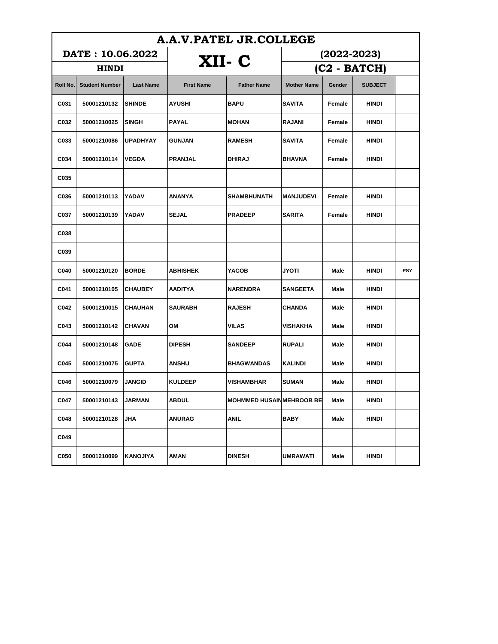| A.A.V.PATEL JR.COLLEGE |                       |                  |                   |                                 |                    |        |                |     |  |
|------------------------|-----------------------|------------------|-------------------|---------------------------------|--------------------|--------|----------------|-----|--|
| DATE: 10.06.2022       |                       |                  | XII- C            |                                 | $(2022 - 2023)$    |        |                |     |  |
| <b>HINDI</b>           |                       |                  |                   |                                 | (C2 - BATCH)       |        |                |     |  |
| Roll No.               | <b>Student Number</b> | <b>Last Name</b> | <b>First Name</b> | <b>Father Name</b>              | <b>Mother Name</b> | Gender | <b>SUBJECT</b> |     |  |
| C031                   | 50001210132           | <b>SHINDE</b>    | AYUSHI            | <b>BAPU</b>                     | <b>SAVITA</b>      | Female | HINDI          |     |  |
| C032                   | 50001210025           | <b>SINGH</b>     | PAYAL             | <b>MOHAN</b>                    | <b>RAJANI</b>      | Female | HINDI          |     |  |
| C033                   | 50001210086           | <b>UPADHYAY</b>  | <b>GUNJAN</b>     | <b>RAMESH</b>                   | <b>SAVITA</b>      | Female | HINDI          |     |  |
| C034                   | 50001210114           | <b>VEGDA</b>     | <b>PRANJAL</b>    | <b>DHIRAJ</b>                   | <b>BHAVNA</b>      | Female | HINDI          |     |  |
| C035                   |                       |                  |                   |                                 |                    |        |                |     |  |
| C036                   | 50001210113           | YADAV            | ANANYA            | <b>SHAMBHUNATH</b>              | <b>MANJUDEVI</b>   | Female | <b>HINDI</b>   |     |  |
| C037                   | 50001210139           | YADAV            | <b>SEJAL</b>      | <b>PRADEEP</b>                  | <b>SARITA</b>      | Female | HINDI          |     |  |
| C038                   |                       |                  |                   |                                 |                    |        |                |     |  |
| C039                   |                       |                  |                   |                                 |                    |        |                |     |  |
| C040                   | 50001210120           | <b>BORDE</b>     | ABHISHEK          | YACOB                           | JYOTI              | Male   | HINDI          | PSY |  |
| C041                   | 50001210105           | <b>CHAUBEY</b>   | AADITYA           | <b>NARENDRA</b>                 | <b>SANGEETA</b>    | Male   | HINDI          |     |  |
| C042                   | 50001210015           | <b>CHAUHAN</b>   | <b>SAURABH</b>    | <b>RAJESH</b>                   | <b>CHANDA</b>      | Male   | HINDI          |     |  |
| C043                   | 50001210142           | <b>CHAVAN</b>    | ΟМ                | VILAS                           | VISHAKHA           | Male   | HINDI          |     |  |
| C044                   | 50001210148           | GADE             | <b>DIPESH</b>     | <b>SANDEEP</b>                  | <b>RUPALI</b>      | Male   | HINDI          |     |  |
| C045                   | 50001210075           | <b>GUPTA</b>     | <b>ANSHU</b>      | <b>BHAGWANDAS</b>               | <b>KALINDI</b>     | Male   | HINDI          |     |  |
| C046                   | 50001210079           | <b>JANGID</b>    | <b>KULDEEP</b>    | VISHAMBHAR                      | <b>SUMAN</b>       | Male   | HINDI          |     |  |
| C047                   | 50001210143           | JARMAN           | <b>ABDUL</b>      | <b>MOHMMED HUSAINMEHBOOB BE</b> |                    | Male   | HINDI          |     |  |
| C048                   | 50001210128           | JHA              | <b>ANURAG</b>     | <b>ANIL</b>                     | <b>BABY</b>        | Male   | <b>HINDI</b>   |     |  |
| C049                   |                       |                  |                   |                                 |                    |        |                |     |  |
| C050                   | 50001210099           | KANOJIYA         | AMAN              | <b>DINESH</b>                   | UMRAWATI           | Male   | <b>HINDI</b>   |     |  |